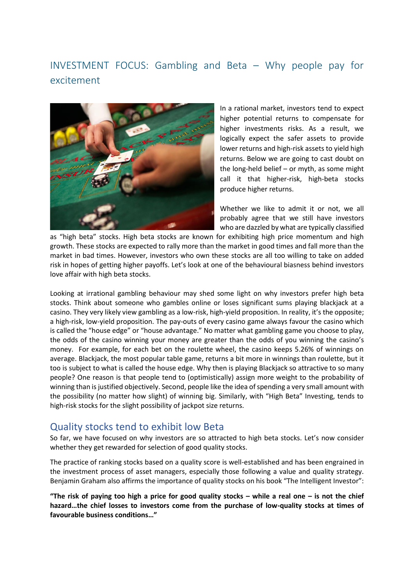## INVESTMENT FOCUS: Gambling and Beta – Why people pay for excitement



In a rational market, investors tend to expect higher potential returns to compensate for higher investments risks. As a result, we logically expect the safer assets to provide lower returns and high-risk assets to yield high returns. Below we are going to cast doubt on the long-held belief – or myth, as some might call it that higher-risk, high-beta stocks produce higher returns.

Whether we like to admit it or not, we all probably agree that we still have investors who are dazzled by what are typically classified

as "high beta" stocks. High beta stocks are known for exhibiting high price momentum and high growth. These stocks are expected to rally more than the market in good times and fall more than the market in bad times. However, investors who own these stocks are all too willing to take on added risk in hopes of getting higher payoffs. Let's look at one of the behavioural biasness behind investors love affair with high beta stocks.

Looking at irrational gambling behaviour may shed some light on why investors prefer high beta stocks. Think about someone who gambles online or loses significant sums playing blackjack at a casino. They very likely view gambling as a low-risk, high-yield proposition. In reality, it's the opposite; a high-risk, low-yield proposition. The pay-outs of every casino game always favour the casino which is called the "house edge" or "house advantage." No matter what gambling game you choose to play, the odds of the casino winning your money are greater than the odds of you winning the casino's money. For example, for each bet on the roulette wheel, the casino keeps 5.26% of winnings on average. Blackjack, the most popular table game, returns a bit more in winnings than roulette, but it too is subject to what is called the house edge. Why then is playing Blackjack so attractive to so many people? One reason is that people tend to (optimistically) assign more weight to the probability of winning than is justified objectively. Second, people like the idea of spending a very small amount with the possibility (no matter how slight) of winning big. Similarly, with "High Beta" Investing, tends to high-risk stocks for the slight possibility of jackpot size returns.

## Quality stocks tend to exhibit low Beta

So far, we have focused on why investors are so attracted to high beta stocks. Let's now consider whether they get rewarded for selection of good quality stocks.

The practice of ranking stocks based on a quality score is well-established and has been engrained in the investment process of asset managers, especially those following a value and quality strategy. Benjamin Graham also affirms the importance of quality stocks on his book "The Intelligent Investor":

**"The risk of paying too high a price for good quality stocks – while a real one – is not the chief hazard…the chief losses to investors come from the purchase of low-quality stocks at times of favourable business conditions…"**